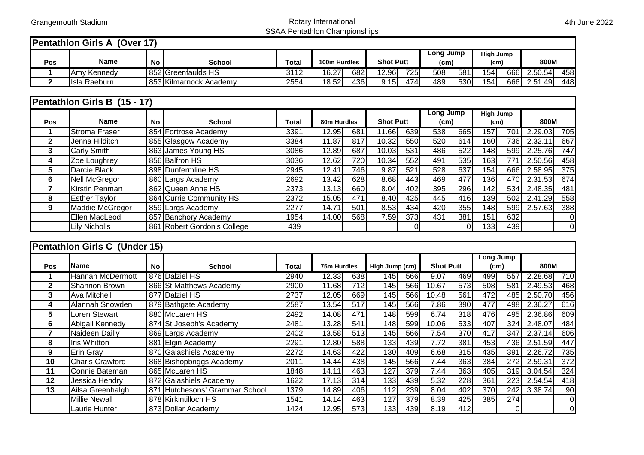## Grangemouth Stadium and Communicational Communicational Rotary International SSAA Pentathlon Championships

 $\mathcal{A}$ 

## **Pentathlon Girls A (Over 17)**

|     |                        |    |                        |       |               |     |                  |      | Long Jump         |      | <b>High Jump</b>  |      |         |     |
|-----|------------------------|----|------------------------|-------|---------------|-----|------------------|------|-------------------|------|-------------------|------|---------|-----|
| Pos | <b>Name</b>            | No | School                 | Total | 100m Hurdles  |     | <b>Shot Putt</b> |      | (c <sub>m</sub> ) |      | (c <sub>m</sub> ) |      | 800M    |     |
|     | IAmv Kennedv           |    | 852 Greenfaulds HS     | 3112  | 16.27I<br>v.z | 682 | 12.96            | 7251 | 508               | 581  | 154               | 6661 | 2.50.54 | 458 |
|     | Raeburn<br><b>Isla</b> |    | 853 Kilmarnock Academy | 2554  | 18.52         | 436 | .15              | 474  | 489               | 530l | 154               | 666  | 2.51.49 | 448 |

|              | <b>Pentathion Girls B (15 - 17)</b> |           |                             |       |       |             |           |                  |     |                  |        |              |         |     |
|--------------|-------------------------------------|-----------|-----------------------------|-------|-------|-------------|-----------|------------------|-----|------------------|--------|--------------|---------|-----|
|              |                                     |           |                             |       |       |             | Long Jump |                  |     | <b>High Jump</b> |        |              |         |     |
| <b>Pos</b>   | <b>Name</b>                         | <b>No</b> | <b>School</b>               | Total |       | 80m Hurdles |           | <b>Shot Putt</b> |     | (cm)             |        | 800M<br>(cm) |         |     |
|              | <b>Stroma Fraser</b>                |           | 854 Fortrose Academy        | 3391  | 12.95 | 681         | 11.66     | 639              | 538 | 665              | 157    | 701          | 2.29.03 | 705 |
| $\mathbf{2}$ | Jenna Hilditch                      |           | 855 Glasgow Academy         | 3384  | 11.87 | 817         | 10.32     | 550              | 520 | 614              | 1601   | 7361         | 2.32.11 | 667 |
| 3            | <b>Carly Smith</b>                  |           | 863 James Young HS          | 3086  | 12.89 | 687         | 10.03     | 531              | 486 | 522              | 148    | 599I         | 2.25.76 | 747 |
| 4            | Zoe Loughrey                        |           | 856 Balfron HS              | 3036  | 12.62 | 720         | 10.34     | 552              | 491 | 535              | 163    | 771          | 2.50.56 | 458 |
| 5.           | Darcie Black                        |           | 898 Dunfermline HS          | 2945  | 12.41 | 7461        | 9.87      | 521              | 528 | 637              | 154    | 666          | 2.58.95 | 375 |
| 6            | Nell McGregor                       |           | 860 Largs Academy           | 2692  | 13.42 | 628         | 8.68      | 443              | 469 | 477              | 1361   | 470          | 2.31.53 | 674 |
|              | Kirstin Penman                      |           | 862 Queen Anne HS           | 2373  | 13.13 | 660l        | 8.04      | 402              | 395 | 296              | 142    | 534          | 2.48.35 | 481 |
| 8            | <b>Esther Taylor</b>                |           | 864 Currie Community HS     | 2372  | 15.05 | 471         | 8.40      | 425              | 445 | 416              | 139    | 502          | 2.41.29 | 558 |
| 9            | Maddie McGregor                     |           | 859 Largs Academy           | 2277  | 14.71 | 501         | 8.53      | 434              | 420 | 355              | 148    | 599          | 2.57.63 | 388 |
|              | Ellen MacLeod                       |           | 857 Banchory Academy        | 1954  | 14.00 | 568         | 7.591     | 373              | 431 | 381              | 151    | 632          |         | 0   |
|              | <b>Lily Nicholls</b>                |           | 861 Robert Gordon's College | 439   |       |             |           |                  |     | 01               | $1331$ | 439          |         | 0   |

|              | Pentathion Girls C (Under 15) |           |                                |       |       |             |                  |     |       |                |                  |                  |         |                |      |  |
|--------------|-------------------------------|-----------|--------------------------------|-------|-------|-------------|------------------|-----|-------|----------------|------------------|------------------|---------|----------------|------|--|
|              |                               |           |                                |       |       |             |                  |     |       |                |                  | Long Jump        |         |                |      |  |
| <b>Pos</b>   | <b>I</b> Name                 | <b>No</b> | <b>School</b>                  | Total |       | 75m Hurdles |                  |     |       | High Jump (cm) |                  | <b>Shot Putt</b> | (cm)    |                | 800M |  |
|              | Hannah McDermott              |           | 876 Dalziel HS                 | 2940  | 12.33 | 638         | 145 <sub>1</sub> | 566 | 9.07  | 469            | 499              | 557              | 2.28.68 | 710            |      |  |
| $\mathbf{2}$ | Shannon Brown                 |           | 866 St Matthews Academy        | 2900  | 11.68 | 712l        | 1451             | 566 | 10.67 | 573            | 508              | 581              | 2.49.53 | 468            |      |  |
| 3            | Ava Mitchell                  |           | 877 Dalziel HS                 | 2737  | 12.05 | 669         | 1451             | 566 | 10.48 | 561            | 472              | 485              | 2.50.70 | 456            |      |  |
| 4            | Alannah Snowden               |           | 879 Bathgate Academy           | 2587  | 13.54 | 517         | 145              | 566 | 7.86  | 390            | 477              | 498              | 2.36.27 | 616            |      |  |
| 5.           | Loren Stewart                 |           | 880 McLaren HS                 | 2492  | 14.08 | 471         | 148              | 599 | 6.74  | 318            | 476              | 495              | 2.36.86 | 609            |      |  |
| 6            | Abigail Kennedy               |           | 874 St Joseph's Academy        | 2481  | 13.28 | 541         | 148              | 599 | 10.06 | 533            | 407              | 324              | 2.48.07 | 484            |      |  |
|              | Naideen Dailly                |           | 869 Largs Academy              | 2402  | 13.58 | 513         | 145              | 566 | 7.54  | 370            | 417              | 347              | 2.37.14 | 606            |      |  |
| 8            | <b>Iris Whitton</b>           |           | 881 Elgin Academy              | 2291  | 12.80 | 588         | 133              | 439 | 7.72  | 381            | 453              | 436              | 2.51.59 | 447            |      |  |
| 9            | Erin Gray                     |           | 870 Galashiels Academy         | 2272  | 14.63 | 422         | 130              | 409 | 6.68  | 315            | 435              | 391              | 2.26.72 | 735            |      |  |
| 10           | <b>Charis Crawford</b>        |           | 868 Bishopbriggs Academy       | 2011  | 14.44 | 4381        | 145              | 566 | 7.44  | 363            | 384              | 272              | 2.59.31 | 372            |      |  |
| 11           | Connie Bateman                |           | 865 McLaren HS                 | 1848  | 14.11 | 4631        | 127              | 379 | 7.44  | 363            | 405              | 319I             | 3.04.54 | 324            |      |  |
| 12           | Jessica Hendry                |           | 872 Galashiels Academy         | 1622  | 17.13 | 314         | 1331             | 439 | 5.32  | 228            | 361              | 223              | 2.54.54 | 418            |      |  |
| 13           | Ailsa Greenhalgh              |           | 871 Hutchesons' Grammar School | 1379  | 14.89 | 406         | 112              | 239 | 8.04  | 402            | 370              | 242              | 3.38.74 | 90             |      |  |
|              | <b>Millie Newall</b>          |           | 878 Kirkintilloch HS           | 1541  | 14.14 | 463         | 127              | 379 | 8.39  | 425            | 385 <sup> </sup> | 274              |         | 0              |      |  |
|              | Laurie Hunter                 |           | 873 Dollar Academy             | 1424  | 12.95 | 573         | 133              | 439 | 8.19  | 412            |                  | 0                |         | $\overline{0}$ |      |  |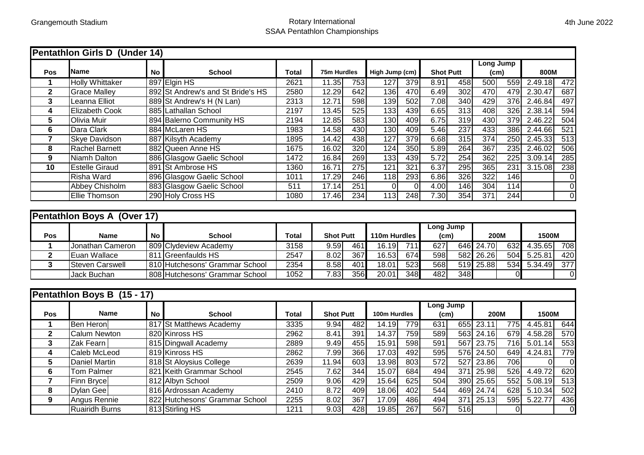**Pentathlon Girls D (Under 14)** 

## Grangemouth Stadium and Communication Communication Creative Rotary International SSAA Pentathlon Championships

|                         |                             |           |                                   |                  |                    |                  |                  |          |                  |                  | Long Jump        |                  |          |                  |  |  |
|-------------------------|-----------------------------|-----------|-----------------------------------|------------------|--------------------|------------------|------------------|----------|------------------|------------------|------------------|------------------|----------|------------------|--|--|
| Pos                     | <b>Name</b>                 | <b>No</b> | <b>School</b>                     | <b>Total</b>     | <b>75m Hurdles</b> |                  | High Jump (cm)   |          | <b>Shot Putt</b> |                  | (cm)             |                  |          | 800M             |  |  |
| 1                       | <b>Holly Whittaker</b>      |           | 897 Elgin HS                      | 2621             | 11.35              | 753              | 127              | 379      | 8.91             | 458              | 500              | 559              | 2.49.18  | 472              |  |  |
| $\mathbf{2}$            | <b>Grace Malley</b>         |           | 892 St Andrew's and St Bride's HS | 2580             | 12.29              | 642              | 136              | 470      | 6.49             | 302              | 470              | 479              | 2.30.47  | 687              |  |  |
| 3                       | Leanna Elliot               |           | 889 St Andrew's H (N Lan)         | 2313             | 12.71              | 598              | 139              | 502      | 7.08             | 340              | 429              | 376              | 2.46.84  | 497              |  |  |
| 4                       | Elizabeth Cook              |           | 885 Lathallan School              | 2197             | 13.45              | 525              | $\overline{133}$ | 439      | 6.65             | 313              | 408              | 326              | 2.38.14  | 594              |  |  |
| 5                       | Olivia Muir                 |           | 894 Balerno Community HS          | 2194             | 12.85              | 583              | 130              | 409      | 6.75             | 319              | 430              | 379              | 2.46.22  | 504              |  |  |
| 6                       | Dara Clark                  |           | 884 McLaren HS                    | 1983             | 14.58              | 430              | 130              | 409      | 5.46             | 237              | 433              | 386              | 2.44.66  | $\overline{521}$ |  |  |
| $\overline{\mathbf{7}}$ | Skye Davidson               |           | 887 Kilsyth Academy               | 1895             | 14.42              | 438              | 127              | 379      | 6.68             | 315              | 374              | 250              | 2.45.33  | $\overline{513}$ |  |  |
| 8                       | <b>Rachel Barnett</b>       |           | 882 Queen Anne HS                 | 1675             | 16.02              | 320              | 124              | 350      | 5.89             | 264              | 367              | 235              | 2.46.02  | 506              |  |  |
| 9                       | Niamh Dalton                |           | 886 Glasgow Gaelic School         | 1472             | 16.84              | 269              | 133              | 439      | 5.72             | 254              | 362              | 225              | 3.09.14  | 285              |  |  |
| 10                      | <b>Estelle Giraud</b>       |           | 891 St Ambrose HS                 | 1360             | 16.71              | $\overline{275}$ | 121              | 321      | 6.37             | 295              | 365              | 231              | 3.15.08  | 238              |  |  |
|                         | Risha Ward                  |           | 896 Glasgow Gaelic School         | 1011             | 17.29              | 246              | 118              | 293      | 6.86             | 326              | $\overline{322}$ | 146              |          | $\mathbf 0$      |  |  |
|                         | Abbey Chisholm              |           | 883 Glasgow Gaelic School         | $\overline{511}$ | 17.14              | $\overline{251}$ | $\Omega$         | $\Omega$ | 4.00             | 146              | 304              | $\overline{114}$ |          | $\overline{0}$   |  |  |
|                         | <b>Ellie Thomson</b>        |           | 290 Holy Cross HS                 | 1080             | 17.46              | 234              | 113              | 248      | 7.30             | 354              | $\overline{371}$ | 244              |          | $\mathbf 0$      |  |  |
|                         |                             |           |                                   |                  |                    |                  |                  |          |                  |                  |                  |                  |          |                  |  |  |
|                         | Pentathion Boys A (Over 17) |           |                                   |                  |                    |                  |                  |          |                  |                  |                  |                  |          |                  |  |  |
|                         |                             |           |                                   |                  |                    |                  |                  |          | <b>Long Jump</b> |                  |                  |                  |          |                  |  |  |
| Pos                     | <b>Name</b>                 | <b>No</b> | <b>School</b>                     | <b>Total</b>     | <b>Shot Putt</b>   |                  | 110m Hurdles     |          | (cm)             |                  | 200M             |                  | 1500M    |                  |  |  |
| 1                       | Jonathan Cameron            |           | 809 Clydeview Academy             | 3158             | 9.59               | 461              | 16.19            | 711      | 627              | 646              | 24.70            | 632              | 4.35.65  | 708              |  |  |
| $\overline{\mathbf{2}}$ | Euan Wallace                |           | 811 Greenfaulds HS                | 2547             | 8.02               | 367              | 16.53            | 674      | 598              | 582              | 26.26            | 504              | 5.25.81  | 420              |  |  |
| 3                       | <b>Steven Carswell</b>      |           | 810 Hutchesons' Grammar School    | 2354             | 8.58               | 401              | 18.01            | 523      | 568              | 519              | 25.88            | 534              | 5.34.49  | $\overline{377}$ |  |  |
|                         | Jack Buchan                 |           | 808 Hutchesons' Grammar School    | 1052             | 7.83               | 356              | 20.01            | 348      | 482              | $\overline{348}$ |                  |                  |          | 0                |  |  |
|                         |                             |           |                                   |                  |                    |                  |                  |          |                  |                  |                  |                  |          |                  |  |  |
|                         | Pentathion Boys B (15 - 17) |           |                                   |                  |                    |                  |                  |          |                  |                  |                  |                  |          |                  |  |  |
|                         |                             |           |                                   |                  |                    |                  |                  |          | <b>Long Jump</b> |                  |                  |                  |          |                  |  |  |
| Pos                     | <b>Name</b>                 | <b>No</b> | <b>School</b>                     | <b>Total</b>     | <b>Shot Putt</b>   |                  | 100m Hurdles     |          | (cm)             |                  | 200M             |                  | 1500M    |                  |  |  |
| 1                       | <b>Ben Heron</b>            |           | 817 St Matthews Academy           | 3335             | 9.94               | 482              | 14.19            | 779      | 631              | 655              | 23.11            | 775              | 4.45.81  | 644              |  |  |
| $\mathbf{2}$            | <b>Calum Newton</b>         |           | 820 Kinross HS                    | 2962             | 8.41               | 391              | 14.37            | 759      | 589              | 563              | 24.16            | 679              | 4.58.28  | 570              |  |  |
| 3                       | Zak Fearn                   |           | 815 Dingwall Academy              | 2889             | 9.49               | 455              | 15.91            | 598      | 591              | 567              | 23.75            | 716              | 5.01.14  | 553              |  |  |
| 4                       | Caleb McLeod                |           | 819 Kinross HS                    | 2862             | 7.99               | 366              | 17.03            | 492      | 595              | 576              | 24.50            | 649              | 4.24.81  | 779              |  |  |
| 5                       | <b>Daniel Martin</b>        |           | 818 St Aloysius College           | 2639             | 11.94              | 603              | 13.98            | 803      | $\overline{572}$ | 527              | 23.86            | 706              | $\Omega$ | $\Omega$         |  |  |
| 6                       | <b>Tom Palmer</b>           | 821       | Keith Grammar School              | 2545             | 7.62               | 344              | 15.07            | 684      | 494              | 371              | 25.98            | 526              | 4.49.72  | 620              |  |  |
| $\overline{7}$          | Finn Bryce                  | 812       | Albyn School                      | 2509             | 9.06               | 429              | 15.64            | 625      | 504              | 390              | 25.65            | $\overline{552}$ | 5.08.19  | $\overline{513}$ |  |  |
| 8                       | Dylan Gee                   |           | 816 Ardrossan Academy             | 2410             | 8.72               | 409              | 18.06            | 402      | 544              | 469              | 24.74            | 628              | 5.10.34  | 502              |  |  |
| 9                       | Angus Rennie                |           | 822 Hutchesons' Grammar School    | 2255             | 8.02               | 367              | 17.09            | 486      | 494              | $\overline{371}$ | 25.13            | 595              | 5.22.77  | 436              |  |  |
|                         | <b>Ruairidh Burns</b>       |           | 813 Stirling HS                   | 1211             | 9.03               | 428              | 19.85            | 267      | 567              | 516              |                  | $\mathbf 0$      |          | $\pmb{0}$        |  |  |